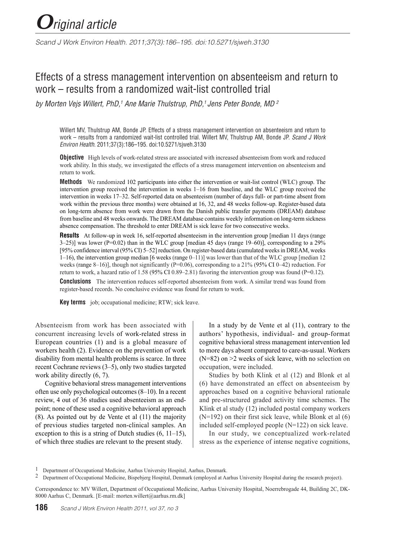# *Original article*

*Scand J Work Environ Health. 2011;37(3):186–195. doi:10.5271/sjweh.3130*

# Effects of a stress management intervention on absenteeism and return to work – results from a randomized wait-list controlled trial

*by Morten Vejs Willert, PhD,1 Ane Marie Thulstrup, PhD,1 Jens Peter Bonde, MD 2*

Willert MV, Thulstrup AM, Bonde JP. Effects of a stress management intervention on absenteeism and return to work – results from a randomized wait-list controlled trial. Willert MV, Thulstrup AM, Bonde JP. *Scand J Work Environ Health*. 2011;37(3):186–195. doi:10.5271/sjweh.3130

**Objective** High levels of work-related stress are associated with increased absenteeism from work and reduced work ability. In this study, we investigated the effects of a stress management intervention on absenteeism and return to work.

**Methods** We randomized 102 participants into either the intervention or wait-list control (WLC) group. The intervention group received the intervention in weeks 1–16 from baseline, and the WLC group received the intervention in weeks 17–32. Self-reported data on absenteeism (number of days full- or part-time absent from work within the previous three months) were obtained at 16, 32, and 48 weeks follow-up. Register-based data on long-term absence from work were drawn from the Danish public transfer payments (DREAM) database from baseline and 48 weeks onwards. The DREAM database contains weekly information on long-term sickness absence compensation. The threshold to enter DREAM is sick leave for two consecutive weeks.

**Results** At follow-up in week 16, self-reported absenteeism in the intervention group [median 11 days (range  $3-25$ ] was lower (P=0.02) than in the WLC group [median 45 days (range 19–60)], corresponding to a 29% [95% confidence interval (95% CI) 5–52] reduction. On register-based data (cumulated weeks in DREAM, weeks 1–16), the intervention group median [6 weeks (range 0–11)] was lower than that of the WLC group [median 12 weeks (range 8–16)], though not significantly ( $P=0.06$ ), corresponding to a 21% (95% CI 0–42) reduction. For return to work, a hazard ratio of 1.58 (95% CI 0.89–2.81) favoring the intervention group was found (P=0.12).

**Conclusions** The intervention reduces self-reported absenteeism from work. A similar trend was found from register-based records. No conclusive evidence was found for return to work.

**Key terms** job; occupational medicine; RTW; sick leave.

Absenteeism from work has been associated with concurrent increasing levels of work-related stress in European countries (1) and is a global measure of workers health (2). Evidence on the prevention of work disability from mental health problems is scarce. In three recent Cochrane reviews (3–5), only two studies targeted work ability directly  $(6, 7)$ .

Cognitive behavioral stress management interventions often use only psychological outcomes (8–10). In a recent review, 4 out of 36 studies used absenteeism as an endpoint; none of these used a cognitive behavioral approach (8). As pointed out by de Vente et al (11) the majority of previous studies targeted non-clinical samples. An exception to this is a string of Dutch studies (6, 11–15), of which three studies are relevant to the present study.

In a study by de Vente et al (11), contrary to the authors' hypothesis, individual- and group-format cognitive behavioral stress management intervention led to more days absent compared to care-as-usual. Workers  $(N=82)$  on  $>2$  weeks of sick leave, with no selection on occupation, were included.

Studies by both Klink et al (12) and Blonk et al (6) have demonstrated an effect on absenteeism by approaches based on a cognitive behavioral rationale and pre-structured graded activity time schemes. The Klink et al study (12) included postal company workers  $(N=192)$  on their first sick leave, while Blonk et al  $(6)$ included self-employed people (N=122) on sick leave.

In our study, we conceptualized work-related stress as the experience of intense negative cognitions,

Correspondence to: MV Willert, Department of Occupational Medicine, Aarhus University Hospital, Noerrebrogade 44, Building 2C, DK-8000 Aarhus C, Denmark. [E-mail: morten.willert@aarhus.rm.dk]

<sup>1</sup> Department of Occupational Medicine, Aarhus University Hospital, Aarhus, Denmark.

<sup>&</sup>lt;sup>2</sup> Department of Occupational Medicine, Bispebjerg Hospital, Denmark (employed at Aarhus University Hospital during the research project).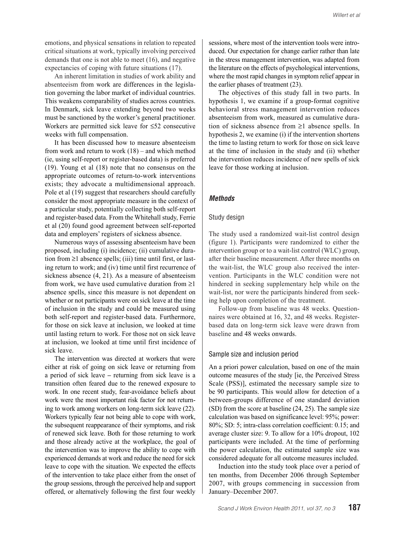emotions, and physical sensations in relation to repeated critical situations at work, typically involving perceived demands that one is not able to meet (16), and negative expectancies of coping with future situations (17).

An inherent limitation in studies of work ability and absenteeism from work are differences in the legislation governing the labor market of individual countries. This weakens comparability of studies across countries. In Denmark, sick leave extending beyond two weeks must be sanctioned by the worker's general practitioner. Workers are permitted sick leave for ≤52 consecutive weeks with full compensation.

It has been discussed how to measure absenteeism from work and return to work (18) – and which method (ie, using self-report or register-based data) is preferred (19). Young et al (18) note that no consensus on the appropriate outcomes of return-to-work interventions exists; they advocate a multidimensional approach. Pole et al (19) suggest that researchers should carefully consider the most appropriate measure in the context of a particular study, potentially collecting both self-report and register-based data. From the Whitehall study, Ferrie et al (20) found good agreement between self-reported data and employers' registers of sickness absence.

Numerous ways of assessing absenteeism have been proposed, including (i) incidence; (ii) cumulative duration from  $\geq 1$  absence spells; (iii) time until first, or lasting return to work; and (iv) time until first recurrence of sickness absence (4, 21). As a measure of absenteeism from work, we have used cumulative duration from  $\geq 1$ absence spells, since this measure is not dependent on whether or not participants were on sick leave at the time of inclusion in the study and could be measured using both self-report and register-based data. Furthermore, for those on sick leave at inclusion, we looked at time until lasting return to work. For those not on sick leave at inclusion, we looked at time until first incidence of sick leave.

The intervention was directed at workers that were either at risk of going on sick leave or returning from a period of sick leave **–** returning from sick leave is a transition often feared due to the renewed exposure to work. In one recent study, fear-avoidance beliefs about work were the most important risk factor for not returning to work among workers on long-term sick leave (22). Workers typically fear not being able to cope with work, the subsequent reappearance of their symptoms, and risk of renewed sick leave. Both for those returning to work and those already active at the workplace, the goal of the intervention was to improve the ability to cope with experienced demands at work and reduce the need for sick leave to cope with the situation. We expected the effects of the intervention to take place either from the onset of the group sessions, through the perceived help and support offered, or alternatively following the first four weekly

sessions, where most of the intervention tools were introduced. Our expectation for change earlier rather than late in the stress management intervention, was adapted from the literature on the effects of psychological interventions, where the most rapid changes in symptom relief appear in the earlier phases of treatment (23).

The objectives of this study fall in two parts. In hypothesis 1, we examine if a group-format cognitive behavioral stress management intervention reduces absenteeism from work, measured as cumulative duration of sickness absence from ≥1 absence spells. In hypothesis 2, we examine (i) if the intervention shortens the time to lasting return to work for those on sick leave at the time of inclusion in the study and (ii) whether the intervention reduces incidence of new spells of sick leave for those working at inclusion.

#### *Methods*

#### Study design

The study used a randomized wait-list control design (figure 1). Participants were randomized to either the intervention group or to a wait-list control (WLC) group, after their baseline measurement. After three months on the wait-list, the WLC group also received the intervention. Participants in the WLC condition were not hindered in seeking supplementary help while on the wait-list, nor were the participants hindered from seeking help upon completion of the treatment.

Follow-up from baseline was 48 weeks. Questionnaires were obtained at 16, 32, and 48 weeks. Registerbased data on long-term sick leave were drawn from baseline and 48 weeks onwards.

#### Sample size and inclusion period

An a priori power calculation, based on one of the main outcome measures of the study [ie, the Perceived Stress Scale (PSS)], estimated the necessary sample size to be 90 participants. This would allow for detection of a between-groups difference of one standard deviation (SD) from the score at baseline (24, 25). The sample size calculation was based on significance level: 95%; power: 80%; SD: 5; intra-class correlation coefficient: 0.15; and average cluster size: 9. To allow for a 10% dropout, 102 participants were included. At the time of performing the power calculation, the estimated sample size was considered adequate for all outcome measures included.

Induction into the study took place over a period of ten months, from December 2006 through September 2007, with groups commencing in succession from January–December 2007.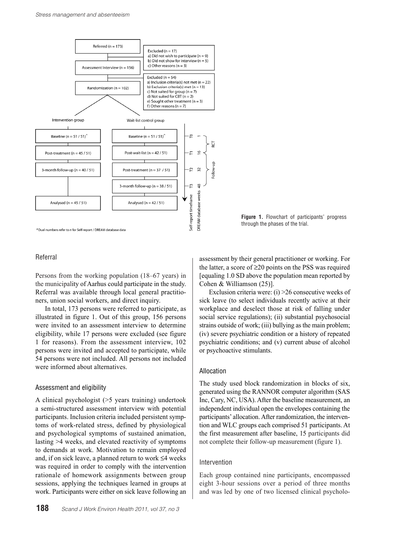

<sup>a</sup> Dual numbers refer to *n* for Self-report / DREAM database data



#### Referral

Persons from the working population (18–67 years) in the municipality of Aarhus could participate in the study. Referral was available through local general practitioners, union social workers, and direct inquiry.

In total, 173 persons were referred to participate, as illustrated in figure 1. Out of this group, 156 persons were invited to an assessment interview to determine eligibility, while 17 persons were excluded (see figure 1 for reasons). From the assessment interview, 102 persons were invited and accepted to participate, while 54 persons were not included. All persons not included were informed about alternatives.

#### Assessment and eligibility

A clinical psychologist (>5 years training) undertook a semi-structured assessment interview with potential participants. Inclusion criteria included persistent symptoms of work-related stress, defined by physiological and psychological symptoms of sustained animation, lasting >4 weeks, and elevated reactivity of symptoms to demands at work. Motivation to remain employed and, if on sick leave, a planned return to work ≤4 weeks was required in order to comply with the intervention rationale of homework assignments between group sessions, applying the techniques learned in groups at work. Participants were either on sick leave following an

**188** *Scand J Work Environ Health 2011, vol 37, no 3*

assessment by their general practitioner or working. For the latter, a score of ≥20 points on the PSS was required [equaling 1.0 SD above the population mean reported by Cohen & Williamson (25)].

Exclusion criteria were: (i) >26 consecutive weeks of sick leave (to select individuals recently active at their workplace and deselect those at risk of falling under social service regulations); (ii) substantial psychosocial strains outside of work; (iii) bullying as the main problem; (iv) severe psychiatric condition or a history of repeated psychiatric conditions; and (v) current abuse of alcohol or psychoactive stimulants.

#### Allocation

The study used block randomization in blocks of six, generated using the RANNOR computer algorithm (SAS Inc, Cary, NC, USA). After the baseline measurement, an independent individual open the envelopes containing the participants' allocation. After randomization, the intervention and WLC groups each comprised 51 participants. At the first measurement after baseline, 15 participants did not complete their follow-up measurement (figure 1).

#### Intervention

Each group contained nine participants, encompassed eight 3-hour sessions over a period of three months and was led by one of two licensed clinical psycholo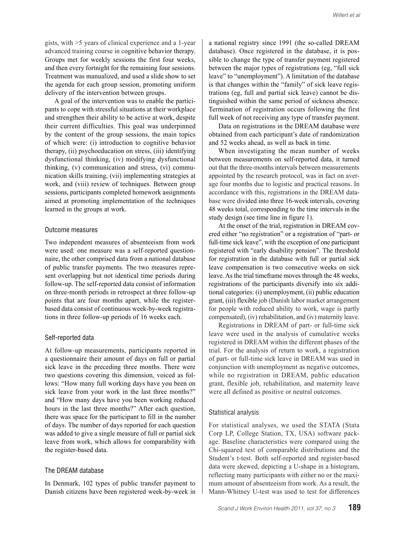gists, with >5 years of clinical experience and a 1-year advanced training course in cognitive behavior therapy. Groups met for weekly sessions the first four weeks, and then every fortnight for the remaining four sessions. Treatment was manualized, and used a slide show to set the agenda for each group session, promoting uniform delivery of the intervention between groups.

A goal of the intervention was to enable the participants to cope with stressful situations at their workplace and strengthen their ability to be active at work, despite their current difficulties. This goal was underpinned by the content of the group sessions, the main topics of which were: (i) introduction to cognitive behavior therapy, (ii) psychoeducation on stress, (iii) identifying dysfunctional thinking, (iv) modifying dysfunctional thinking, (v) communication and stress, (vi) communication skills training, (vii) implementing strategies at work, and (viii) review of techniques. Between group sessions, participants completed homework assignments aimed at promoting implementation of the techniques learned in the groups at work.

#### Outcome measures

Two independent measures of absenteeism from work were used: one measure was a self-reported questionnaire, the other comprised data from a national database of public transfer payments. The two measures represent overlapping but not identical time periods during follow-up. The self-reported data consist of information on three-month periods in retrospect at three follow-up points that are four months apart, while the registerbased data consist of continuous week-by-week registrations in three follow-up periods of 16 weeks each.

#### Self-reported data

At follow-up measurements, participants reported in a questionnaire their amount of days on full or partial sick leave in the preceding three months. There were two questions covering this dimension, voiced as follows: "How many full working days have you been on sick leave from your work in the last three months?" and "How many days have you been working reduced hours in the last three months?" After each question, there was space for the participant to fill in the number of days. The number of days reported for each question was added to give a single measure of full or partial sick leave from work, which allows for comparability with the register-based data.

#### The DREAM database

In Denmark, 102 types of public transfer payment to Danish citizens have been registered week-by-week in a national registry since 1991 (the so-called DREAM database). Once registered in the database, it is possible to change the type of transfer payment registered between the major types of registrations (eg, "full sick leave" to "unemployment"). A limitation of the database is that changes within the "family" of sick leave registrations (eg, full and partial sick leave) cannot be distinguished within the same period of sickness absence. Termination of registration occurs following the first full week of not receiving any type of transfer payment.

Data on registrations in the DREAM database were obtained from each participant's date of randomization and 52 weeks ahead, as well as back in time.

When investigating the mean number of weeks between measurements on self-reported data, it turned out that the three-months intervals between measurements appointed by the research protocol, was in fact on average four months due to logistic and practical reasons. In accordance with this, registrations in the DREAM database were divided into three 16-week intervals, covering 48 weeks total, corresponding to the time intervals in the study design (see time line in figure 1).

At the onset of the trial, registration in DREAM covered either "no registration" or a registration of "part- or full-time sick leave", with the exception of one participant registered with "early disability pension". The threshold for registration in the database with full or partial sick leave compensation is two consecutive weeks on sick leave. As the trial timeframe moves through the 48 weeks, registrations of the participants diversify into six additional categories: (i) unemployment, (ii) public education grant, (iii) flexible job (Danish labor market arrangement for people with reduced ability to work, wage is partly compensated), (iv) rehabilitation, and (iv) maternity leave.

Registrations in DREAM of part- or full-time sick leave were used in the analysis of cumulative weeks registered in DREAM within the different phases of the trial. For the analysis of return to work, a registration of part- or full-time sick leave in DREAM was used in conjunction with unemployment as negative outcomes, while no registration in DREAM, public education grant, flexible job, rehabilitation, and maternity leave were all defined as positive or neutral outcomes.

#### Statistical analysis

For statistical analyses, we used the STATA (Stata Corp LP, College Station, TX, USA) software package. Baseline characteristics were compared using the Chi-squared test of comparable distributions and the Student's t-test. Both self-reported and register-based data were skewed, depicting a U-shape in a histogram, reflecting many participants with either no or the maximum amount of absenteeism from work. As a result, the Mann-Whitney U-test was used to test for differences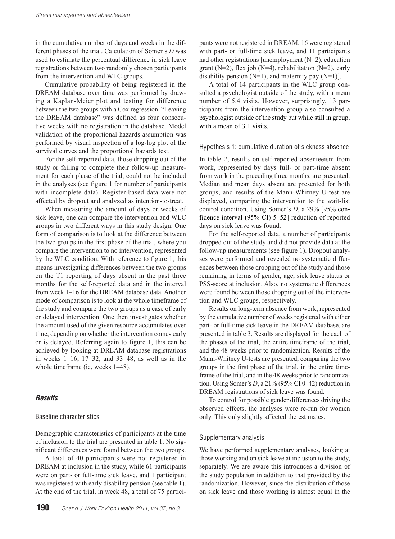in the cumulative number of days and weeks in the different phases of the trial. Calculation of Somer's *D* was used to estimate the percentual difference in sick leave registrations between two randomly chosen participants from the intervention and WLC groups.

Cumulative probability of being registered in the DREAM database over time was performed by drawing a Kaplan-Meier plot and testing for difference between the two groups with a Cox regression. "Leaving the DREAM database" was defined as four consecutive weeks with no registration in the database. Model validation of the proportional hazards assumption was performed by visual inspection of a log-log plot of the survival curves and the proportional hazards test.

For the self-reported data, those dropping out of the study or failing to complete their follow-up measurement for each phase of the trial, could not be included in the analyses (see figure 1 for number of participants with incomplete data). Register-based data were not affected by dropout and analyzed as intention-to-treat.

When measuring the amount of days or weeks of sick leave, one can compare the intervention and WLC groups in two different ways in this study design. One form of comparison is to look at the difference between the two groups in the first phase of the trial, where you compare the intervention to no intervention, represented by the WLC condition. With reference to figure 1, this means investigating differences between the two groups on the T1 reporting of days absent in the past three months for the self-reported data and in the interval from week 1–16 for the DREAM database data. Another mode of comparison is to look at the whole timeframe of the study and compare the two groups as a case of early or delayed intervention. One then investigates whether the amount used of the given resource accumulates over time, depending on whether the intervention comes early or is delayed. Referring again to figure 1, this can be achieved by looking at DREAM database registrations in weeks  $1-16$ ,  $17-32$ , and  $33-48$ , as well as in the whole timeframe (ie, weeks  $1-48$ ).

# *Results*

#### Baseline characteristics

Demographic characteristics of participants at the time of inclusion to the trial are presented in table 1. No significant differences were found between the two groups.

A total of 40 participants were not registered in DREAM at inclusion in the study, while 61 participants were on part- or full-time sick leave, and 1 participant was registered with early disability pension (see table 1). At the end of the trial, in week 48, a total of 75 partici-

pants were not registered in DREAM, 16 were registered with part- or full-time sick leave, and 11 participants had other registrations [unemployment (N=2), education grant (N=2), flex job (N=4), rehabilitation (N=2), early disability pension  $(N=1)$ , and maternity pay  $(N=1)$ ].

A total of 14 participants in the WLC group consulted a psychologist outside of the study, with a mean number of 5.4 visits. However, surprisingly, 13 participants from the intervention group also consulted a psychologist outside of the study but while still in group, with a mean of 3.1 visits.

#### Hypothesis 1: cumulative duration of sickness absence

In table 2, results on self-reported absenteeism from work, represented by days full- or part-time absent from work in the preceding three months, are presented. Median and mean days absent are presented for both groups, and results of the Mann-Whitney U-test are displayed, comparing the intervention to the wait-list control condition. Using Somer's *D*, a 29% [95% confidence interval (95% CI) 5–52] reduction of reported days on sick leave was found.

For the self-reported data, a number of participants dropped out of the study and did not provide data at the follow-up measurements (see figure 1). Dropout analyses were performed and revealed no systematic differences between those dropping out of the study and those remaining in terms of gender, age, sick leave status or PSS-score at inclusion. Also, no systematic differences were found between those dropping out of the intervention and WLC groups, respectively.

Results on long-term absence from work, represented by the cumulative number of weeks registered with either part- or full-time sick leave in the DREAM database, are presented in table 3. Results are displayed for the each of the phases of the trial, the entire timeframe of the trial, and the 48 weeks prior to randomization. Results of the Mann-Whitney U-tests are presented, comparing the two groups in the first phase of the trial, in the entire timeframe of the trial, and in the 48 weeks prior to randomization. Using Somer's *D*, a 21% (95% CI 0–42) reduction in DREAM registrations of sick leave was found.

To control for possible gender differences driving the observed effects, the analyses were re-run for women only. This only slightly affected the estimates.

#### Supplementary analysis

We have performed supplementary analyses, looking at those working and on sick leave at inclusion to the study, separately. We are aware this introduces a division of the study population in addition to that provided by the randomization. However, since the distribution of those on sick leave and those working is almost equal in the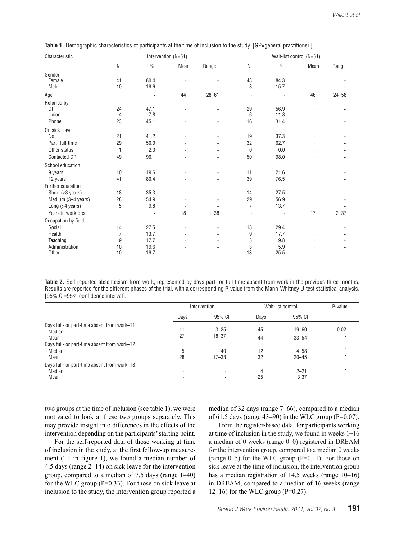| Characteristic        | Intervention (N=51) |               |      |           | Wait-list control (N=51) |               |      |           |
|-----------------------|---------------------|---------------|------|-----------|--------------------------|---------------|------|-----------|
|                       | N                   | $\frac{0}{0}$ | Mean | Range     | N                        | $\frac{0}{0}$ | Mean | Range     |
| Gender                |                     |               |      |           |                          |               |      |           |
| Female                | 41                  | 80.4          |      |           | 43                       | 84.3          |      |           |
| Male                  | 10                  | 19.6          |      |           | 8                        | 15.7          |      | $\ddotsc$ |
| Age                   | $\cdot$             | J.            | 44   | $28 - 61$ | ł.                       | ä,            | 46   | $24 - 58$ |
| Referred by           |                     |               |      |           |                          |               |      |           |
| GP                    | 24                  | 47.1          |      | $\ddotsc$ | 29                       | 56.9          |      |           |
| Union                 | 4                   | 7.8           |      |           | 6                        | 11.8          |      |           |
| Phone                 | 23                  | 45.1          |      | $\ddotsc$ | 16                       | 31.4          |      | $\ddotsc$ |
| On sick leave         |                     |               |      |           |                          |               |      |           |
| No                    | 21                  | 41.2          |      |           | 19                       | 37.3          |      | $\ldots$  |
| Part- full-time       | 29                  | 56.9          |      | $\ddotsc$ | 32                       | 62.7          |      | $\ddotsc$ |
| Other status          | 1                   | 2.0           |      | $\ddotsc$ | $\mathbf{0}$             | 0.0           |      | $\ddotsc$ |
| Contacted GP          | 49                  | 96.1          |      |           | 50                       | 98.0          |      |           |
| School education      |                     |               |      |           |                          |               |      |           |
| 9 years               | 10                  | 19.6          |      |           | 11                       | 21.6          |      | $\ddotsc$ |
| 12 years              | 41                  | 80.4          |      |           | 39                       | 76.5          |      | $\ddotsc$ |
| Further education     |                     |               |      |           |                          |               |      |           |
| Short $(<3$ years)    | 18                  | 35.3          |      |           | 14                       | 27.5          |      | $\ddotsc$ |
| Medium (3-4 years)    | 28                  | 54.9          |      | $\ddotsc$ | 29                       | 56.9          |      | $\cdot$   |
| Long $($ >4 years $)$ | $\mathbf 5$         | 9.8           |      |           | $\overline{7}$           | 13.7          |      | $\ldots$  |
| Years in workforce    |                     |               | 18   | $1 - 38$  |                          |               | 17   | $2 - 37$  |
| Occupation by field   |                     |               |      |           |                          |               |      | $\cdot$   |
| Social                | 14                  | 27.5          |      |           | 15                       | 29.4          |      |           |
| Health                | $\overline{7}$      | 13.7          |      |           | 9                        | 17.7          |      |           |
| Teaching              | 9                   | 17.7          |      | $\ldots$  | 5                        | 9.8           |      | $\ldots$  |
| Administration        | 10                  | 19.6          |      |           | 3                        | 5.9           |      | $\ldots$  |
| Other                 | 10                  | 19.7          |      |           | 13                       | 25.5          |      | $\ddotsc$ |

**Table 1.** Demographic characteristics of participants at the time of inclusion to the study. [GP=general practitioner.]

**Table 2.** Self-reported absenteeism from work, represented by days part- or full-time absent from work in the previous three months. Results are reported for the different phases of the trial, with a corresponding P-value from the Mann-Whitney U-test statistical analysis. [95% CI=95% confidence interval].

|                                                       | Intervention |           | Wait-list control |           | P-value |
|-------------------------------------------------------|--------------|-----------|-------------------|-----------|---------|
|                                                       | Days         | 95% CI    | Days              | 95% CI    |         |
| Days full- or part-time absent from work-T1<br>Median | 11           | $3 - 25$  | 45                | $19 - 60$ | 0.02    |
| Mean                                                  | 27           | $18 - 37$ | 44                | $33 - 54$ |         |
| Days full- or part-time absent from work-T2           |              |           |                   |           |         |
| Median                                                | 5            | $1 - 40$  | 12                | $4 - 58$  |         |
| Mean                                                  | 28           | $17 - 38$ | 32                | $20 - 45$ |         |
| Days full- or part-time absent from work-T3           |              |           |                   |           |         |
| Median                                                | ٠            | $\cdot$ . |                   | $2 - 21$  |         |
| Mean                                                  | ٠            | $\cdot$ . | 25                | $13 - 37$ | ٠       |

two groups at the time of inclusion (see table 1), we were motivated to look at these two groups separately. This may provide insight into differences in the effects of the intervention depending on the participants' starting point.

For the self-reported data of those working at time of inclusion in the study, at the first follow-up measurement (T1 in figure 1), we found a median number of 4.5 days (range 2–14) on sick leave for the intervention group, compared to a median of 7.5 days (range 1–40) for the WLC group  $(P=0.33)$ . For those on sick leave at inclusion to the study, the intervention group reported a median of 32 days (range 7–66), compared to a median of 61.5 days (range 43–90) in the WLC group ( $P=0.07$ ).

From the register-based data, for participants working at time of inclusion in the study, we found in weeks 1–16 a median of 0 weeks (range 0–0) registered in DREAM for the intervention group, compared to a median 0 weeks (range  $0-5$ ) for the WLC group (P=0.11). For those on sick leave at the time of inclusion, the intervention group has a median registration of 14.5 weeks (range 10–16) in DREAM, compared to a median of 16 weeks (range 12–16) for the WLC group  $(P=0.27)$ .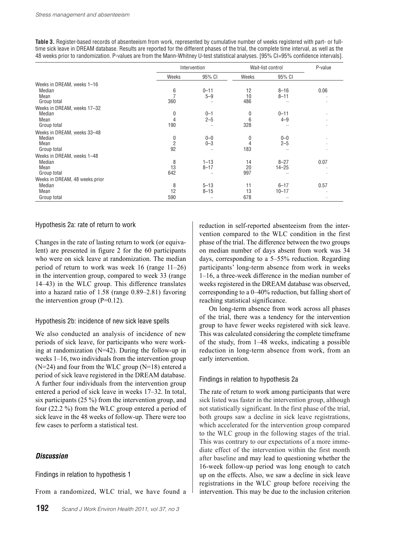**Table 3.** Register-based records of absenteeism from work, represented by cumulative number of weeks registered with part- or fulltime sick leave in DREAM database. Results are reported for the different phases of the trial, the complete time interval, as well as the 48 weeks prior to randomization. P-values are from the Mann-Whitney U-test statistical analyses. [95% CI=95% confidence intervals].

|                                |                | Intervention |       | Wait-list control |                |
|--------------------------------|----------------|--------------|-------|-------------------|----------------|
|                                | Weeks          | 95% CI       | Weeks | 95% CI            |                |
| Weeks in DREAM, weeks 1-16     |                |              |       |                   |                |
| Median                         | 6              | $0 - 11$     | 12    | $8 - 16$          | 0.06           |
| Mean                           |                | $5 - 9$      | 10    | $8 - 11$          |                |
| Group total                    | 360            |              | 486   | $\cdot$ .         | $\cdot$        |
| Weeks in DREAM, weeks 17-32    |                |              |       |                   |                |
| Median                         | 0              | $0 - 1$      | 0     | $0 - 11$          | $\cdot$        |
| Mean                           | 4              | $2 - 5$      | 6     | $4 - 9$           | $\blacksquare$ |
| Group total                    | 190            | $\ddotsc$    | 328   | $\cdot$ .         |                |
| Weeks in DREAM, weeks 33-48    |                |              |       |                   |                |
| Median                         | 0              | $0 - 0$      | 0     | $0 - 0$           |                |
| Mean                           | $\overline{2}$ | $0 - 3$      | 4     | $2 - 5$           |                |
| Group total                    | 92             | $\ddotsc$    | 183   | $\cdot$           |                |
| Weeks in DREAM, weeks 1-48     |                |              |       |                   |                |
| Median                         | 8              | $1 - 13$     | 14    | $8 - 27$          | 0.07           |
| Mean                           | 13             | $8 - 17$     | 20    | $14 - 25$         |                |
| Group total                    | 642            |              | 997   | $\cdot$ .         |                |
| Weeks in DREAM, 48 weeks prior |                |              |       |                   |                |
| Median                         | 8              | $5 - 13$     | 11    | $6 - 17$          | 0.57           |
| Mean                           | 12             | $8 - 15$     | 13    | $10 - 17$         |                |
| Group total                    | 590            |              | 678   | $\cdot$ .         |                |

#### Hypothesis 2a: rate of return to work

Changes in the rate of lasting return to work (or equivalent) are presented in figure 2 for the 60 participants who were on sick leave at randomization. The median period of return to work was week 16 (range 11–26) in the intervention group, compared to week 33 (range 14–43) in the WLC group. This difference translates into a hazard ratio of 1.58 (range 0.89–2.81) favoring the intervention group  $(P=0.12)$ .

#### Hypothesis 2b: incidence of new sick leave spells

We also conducted an analysis of incidence of new periods of sick leave, for participants who were working at randomization (N=42). During the follow-up in weeks 1–16, two individuals from the intervention group  $(N=24)$  and four from the WLC group  $(N=18)$  entered a period of sick leave registered in the DREAM database. A further four individuals from the intervention group entered a period of sick leave in weeks 17–32. In total, six participants (25 %) from the intervention group, and four (22.2 %) from the WLC group entered a period of sick leave in the 48 weeks of follow-up. There were too few cases to perform a statistical test.

# *Discussion*

Findings in relation to hypothesis 1

From a randomized, WLC trial, we have found a

reduction in self-reported absenteeism from the intervention compared to the WLC condition in the first phase of the trial. The difference between the two groups on median number of days absent from work was 34 days, corresponding to a 5–55% reduction. Regarding participants' long-term absence from work in weeks 1–16, a three-week difference in the median number of weeks registered in the DREAM database was observed, corresponding to a 0–40% reduction, but falling short of reaching statistical significance.

On long-term absence from work across all phases of the trial, there was a tendency for the intervention group to have fewer weeks registered with sick leave. This was calculated considering the complete timeframe of the study, from 1–48 weeks, indicating a possible reduction in long-term absence from work, from an early intervention.

# Findings in relation to hypothesis 2a

The rate of return to work among participants that were sick listed was faster in the intervention group, although not statistically significant. In the first phase of the trial, both groups saw a decline in sick leave registrations, which accelerated for the intervention group compared to the WLC group in the following stages of the trial. This was contrary to our expectations of a more immediate effect of the intervention within the first month after baseline and may lead to questioning whether the 16-week follow-up period was long enough to catch up on the effects. Also, we saw a decline in sick leave registrations in the WLC group before receiving the intervention. This may be due to the inclusion criterion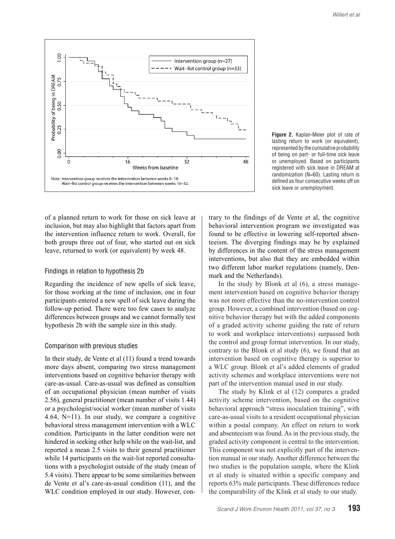



of a planned return to work for those on sick leave at inclusion, but may also highlight that factors apart from the intervention influence return to work. Overall, for both groups three out of four, who started out on sick leave, returned to work (or equivalent) by week 48.

#### Findings in relation to hypothesis 2b

Regarding the incidence of new spells of sick leave, for those working at the time of inclusion, one in four participants entered a new spell of sick leave during the follow-up period. There were too few cases to analyze differences between groups and we cannot formally test hypothesis 2b with the sample size in this study.

#### Comparison with previous studies

In their study, de Vente et al (11) found a trend towards more days absent, comparing two stress management interventions based on cognitive behavior therapy with care-as-usual. Care-as-usual was defined as consultion of an occupational physician (mean number of visits 2.56), general practitioner (mean number of visits 1.44) or a psychologist/social worker (mean number of visits 4.64, N=11). In our study, we compare a cognitive behavioral stress management intervention with a WLC condition. Participants in the latter condition were not hindered in seeking other help while on the wait-list, and reported a mean 2.5 visits to their general practitioner while 14 participants on the wait-list reported consultations with a psychologist outside of the study (mean of 5.4 visits). There appear to be some similarities between de Vente et al's care-as-usual condition (11), and the WLC condition employed in our study. However, contrary to the findings of de Vente et al, the cognitive behavioral intervention program we investigated was found to be effective in lowering self-reported absenteeism. The diverging findings may be by explained by differences in the content of the stress management interventions, but also that they are embedded within two different labor market regulations (namely, Denmark and the Netherlands).

In the study by Blonk et al (6), a stress management intervention based on cognitive behavior therapy was not more effective than the no-intervention control group. However, a combined intervention (based on cognitive behavior therapy but with the added components of a graded activity scheme guiding the rate of return to work and workplace interventions) surpassed both the control and group format intervention. In our study, contrary to the Blonk et al study (6), we found that an intervention based on cognitive therapy is superior to a WLC group. Blonk et al's added elements of graded activity schemes and workplace interventions were not part of the intervention manual used in our study.

The study by Klink et al (12) compares a graded activity scheme intervention, based on the cognitive behavioral approach "stress inoculation training", with care-as-usual visits to a resident occupational physician within a postal company. An effect on return to work and absenteeism was found. As in the previous study, the graded activity component is central to the intervention. This component was not explicitly part of the intervention manual in our study. Another difference between the two studies is the population sample, where the Klink et al study is situated within a specific company and reports 63% male participants. These differences reduce the comparability of the Klink et al study to our study.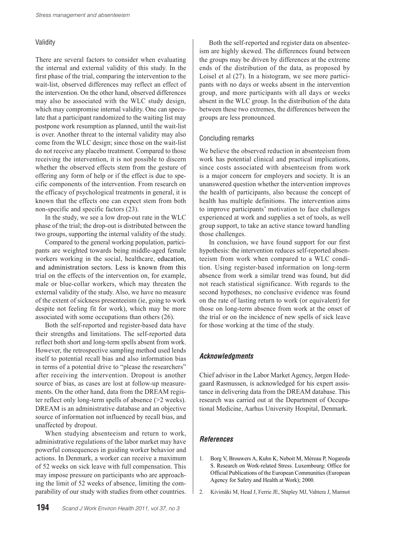# Validity

There are several factors to consider when evaluating the internal and external validity of this study. In the first phase of the trial, comparing the intervention to the wait-list, observed differences may reflect an effect of the intervention. On the other hand, observed differences may also be associated with the WLC study design, which may compromise internal validity. One can speculate that a participant randomized to the waiting list may postpone work resumption as planned, until the wait-list is over. Another threat to the internal validity may also come from the WLC design; since those on the wait-list do not receive any placebo treatment. Compared to those receiving the intervention, it is not possible to discern whether the observed effects stem from the gesture of offering any form of help or if the effect is due to specific components of the intervention. From research on the efficacy of psychological treatments in general, it is known that the effects one can expect stem from both non-specific and specific factors (23).

In the study, we see a low drop-out rate in the WLC phase of the trial; the drop-out is distributed between the two groups, supporting the internal validity of the study.

Compared to the general working population, participants are weighted towards being middle-aged female workers working in the social, healthcare, education, and administration sectors. Less is known from this trial on the effects of the intervention on, for example, male or blue-collar workers, which may threaten the external validity of the study. Also, we have no measure of the extent of sickness presenteeism (ie, going to work despite not feeling fit for work), which may be more associated with some occupations than others (26).

Both the self-reported and register-based data have their strengths and limitations. The self-reported data reflect both short and long-term spells absent from work. However, the retrospective sampling method used lends itself to potential recall bias and also information bias in terms of a potential drive to "please the researchers" after receiving the intervention. Dropout is another source of bias, as cases are lost at follow-up measurements. On the other hand, data from the DREAM register reflect only long-term spells of absence (>2 weeks). DREAM is an administrative database and an objective source of information not influenced by recall bias, and unaffected by dropout.

When studying absenteeism and return to work, administrative regulations of the labor market may have powerful consequences in guiding worker behavior and actions. In Denmark, a worker can receive a maximum of 52 weeks on sick leave with full compensation. This may impose pressure on participants who are approaching the limit of 52 weeks of absence, limiting the comparability of our study with studies from other countries.

**194** *Scand J Work Environ Health 2011, vol 37, no 3*

Both the self-reported and register data on absenteeism are highly skewed. The differences found between the groups may be driven by differences at the extreme ends of the distribution of the data, as proposed by Loisel et al (27). In a histogram, we see more participants with no days or weeks absent in the intervention group, and more participants with all days or weeks absent in the WLC group. In the distribution of the data between these two extremes, the differences between the groups are less pronounced.

#### Concluding remarks

We believe the observed reduction in absenteeism from work has potential clinical and practical implications, since costs associated with absenteeism from work is a major concern for employers and society. It is an unanswered question whether the intervention improves the health of participants, also because the concept of health has multiple definitions. The intervention aims to improve participants' motivation to face challenges experienced at work and supplies a set of tools, as well group support, to take an active stance toward handling those challenges.

In conclusion, we have found support for our first hypothesis: the intervention reduces self-reported absenteeism from work when compared to a WLC condition. Using register-based information on long-term absence from work a similar trend was found, but did not reach statistical significance. With regards to the second hypotheses, no conclusive evidence was found on the rate of lasting return to work (or equivalent) for those on long-term absence from work at the onset of the trial or on the incidence of new spells of sick leave for those working at the time of the study.

# *Acknowledgments*

Chief advisor in the Labor Market Agency, Jørgen Hedegaard Rasmussen, is acknowledged for his expert assistance in delivering data from the DREAM database. This research was carried out at the Department of Occupational Medicine, Aarhus University Hospital, Denmark.

# *References*

- 1. Borg V, Brouwers A, Kuhn K, Neboit M, Méreau P, Nogareda S. Research on Work-related Stress. Luxembourg: Office for Official Publications of the European Communities (European Agency for Safety and Health at Work); 2000.
- 2. Kivimäki M, Head J, Ferrie JE, Shipley MJ, Vahtera J, Marmot